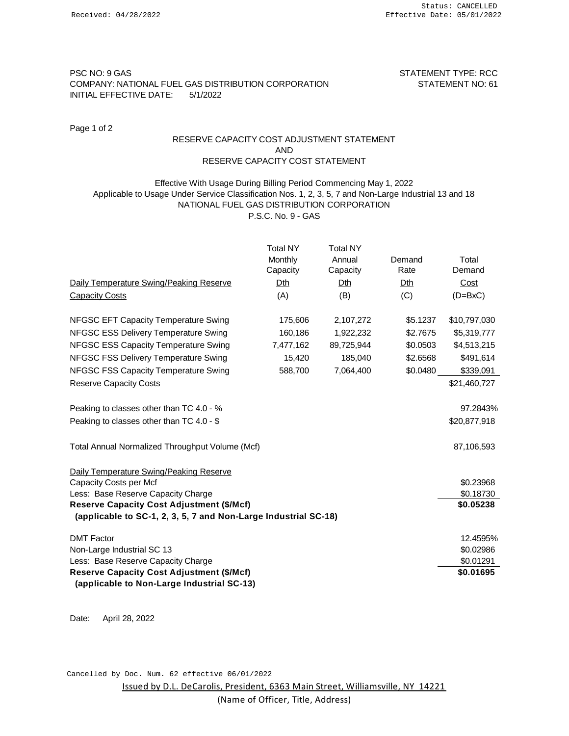# PSC NO: 9 GAS STATEMENT TYPE: RCC COMPANY: NATIONAL FUEL GAS DISTRIBUTION CORPORATION STATEMENT NO: 61 INITIAL EFFECTIVE DATE: 5/1/2022

Page 1 of 2

# RESERVE CAPACITY COST ADJUSTMENT STATEMENT AND RESERVE CAPACITY COST STATEMENT

### Applicable to Usage Under Service Classification Nos. 1, 2, 3, 5, 7 and Non-Large Industrial 13 and 18 NATIONAL FUEL GAS DISTRIBUTION CORPORATION P.S.C. No. 9 - GAS Effective With Usage During Billing Period Commencing May 1, 2022

|                                                                                                                     | <b>Total NY</b> | <b>Total NY</b> |          |              |
|---------------------------------------------------------------------------------------------------------------------|-----------------|-----------------|----------|--------------|
|                                                                                                                     | Monthly         | Annual          | Demand   | Total        |
|                                                                                                                     | Capacity        | Capacity        | Rate     | Demand       |
| Daily Temperature Swing/Peaking Reserve                                                                             | Dth             | Dth             | Dth      | Cost         |
| <b>Capacity Costs</b>                                                                                               | (A)             | (B)             | (C)      | $(D=BxC)$    |
| NFGSC EFT Capacity Temperature Swing                                                                                | 175,606         | 2,107,272       | \$5.1237 | \$10,797,030 |
| NFGSC ESS Delivery Temperature Swing                                                                                | 160,186         | 1,922,232       | \$2.7675 | \$5,319,777  |
| NFGSC ESS Capacity Temperature Swing                                                                                | 7,477,162       | 89,725,944      | \$0.0503 | \$4,513,215  |
| NFGSC FSS Delivery Temperature Swing                                                                                | 15,420          | 185,040         | \$2.6568 | \$491,614    |
| NFGSC FSS Capacity Temperature Swing                                                                                | 588,700         | 7,064,400       | \$0.0480 | \$339,091    |
| <b>Reserve Capacity Costs</b>                                                                                       |                 |                 |          | \$21,460,727 |
| Peaking to classes other than TC 4.0 - %                                                                            |                 |                 |          | 97.2843%     |
| Peaking to classes other than TC 4.0 - \$                                                                           |                 |                 |          | \$20,877,918 |
| Total Annual Normalized Throughput Volume (Mcf)                                                                     |                 |                 |          | 87,106,593   |
| Daily Temperature Swing/Peaking Reserve                                                                             |                 |                 |          |              |
| Capacity Costs per Mcf                                                                                              |                 |                 |          | \$0.23968    |
| Less: Base Reserve Capacity Charge                                                                                  |                 |                 |          | \$0.18730    |
| <b>Reserve Capacity Cost Adjustment (\$/Mcf)</b><br>(applicable to SC-1, 2, 3, 5, 7 and Non-Large Industrial SC-18) |                 |                 |          | \$0.05238    |
| <b>DMT Factor</b>                                                                                                   |                 |                 |          | 12.4595%     |
| Non-Large Industrial SC 13                                                                                          |                 |                 |          | \$0.02986    |
| Less: Base Reserve Capacity Charge                                                                                  |                 |                 |          | \$0.01291    |
| <b>Reserve Capacity Cost Adjustment (\$/Mcf)</b>                                                                    |                 |                 |          | \$0.01695    |
| (applicable to Non-Large Industrial SC-13)                                                                          |                 |                 |          |              |

Date: April 28, 2022

Cancelled by Doc. Num. 62 effective 06/01/2022

Issued by D.L. DeCarolis, President, 6363 Main Street, Williamsville, NY 14221